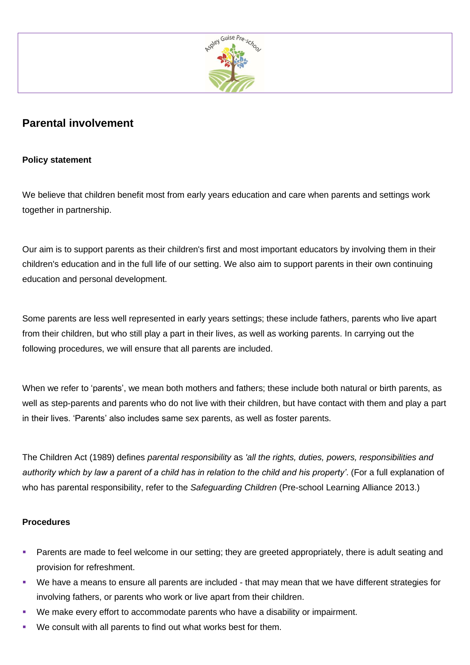

## **Parental involvement**

## **Policy statement**

We believe that children benefit most from early years education and care when parents and settings work together in partnership.

Our aim is to support parents as their children's first and most important educators by involving them in their children's education and in the full life of our setting. We also aim to support parents in their own continuing education and personal development.

Some parents are less well represented in early years settings; these include fathers, parents who live apart from their children, but who still play a part in their lives, as well as working parents. In carrying out the following procedures, we will ensure that all parents are included.

When we refer to 'parents', we mean both mothers and fathers; these include both natural or birth parents, as well as step-parents and parents who do not live with their children, but have contact with them and play a part in their lives. 'Parents' also includes same sex parents, as well as foster parents.

The Children Act (1989) defines *parental responsibility* as *'all the rights, duties, powers, responsibilities and authority which by law a parent of a child has in relation to the child and his property'*. (For a full explanation of who has parental responsibility, refer to the *Safeguarding Children* (Pre-school Learning Alliance 2013.)

## **Procedures**

- Parents are made to feel welcome in our setting; they are greeted appropriately, there is adult seating and provision for refreshment.
- We have a means to ensure all parents are included that may mean that we have different strategies for involving fathers, or parents who work or live apart from their children.
- We make every effort to accommodate parents who have a disability or impairment.
- We consult with all parents to find out what works best for them.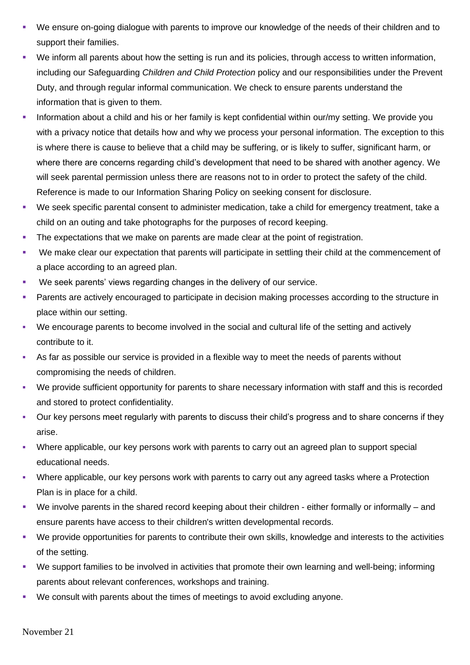- We ensure on-going dialogue with parents to improve our knowledge of the needs of their children and to support their families.
- We inform all parents about how the setting is run and its policies, through access to written information, including our Safeguarding *Children and Child Protection* policy and our responsibilities under the Prevent Duty, and through regular informal communication. We check to ensure parents understand the information that is given to them.
- Information about a child and his or her family is kept confidential within our/my setting. We provide you with a privacy notice that details how and why we process your personal information. The exception to this is where there is cause to believe that a child may be suffering, or is likely to suffer, significant harm, or where there are concerns regarding child's development that need to be shared with another agency. We will seek parental permission unless there are reasons not to in order to protect the safety of the child. Reference is made to our Information Sharing Policy on seeking consent for disclosure.
- We seek specific parental consent to administer medication, take a child for emergency treatment, take a child on an outing and take photographs for the purposes of record keeping.
- The expectations that we make on parents are made clear at the point of registration.
- We make clear our expectation that parents will participate in settling their child at the commencement of a place according to an agreed plan.
- We seek parents' views regarding changes in the delivery of our service.
- Parents are actively encouraged to participate in decision making processes according to the structure in place within our setting.
- We encourage parents to become involved in the social and cultural life of the setting and actively contribute to it.
- As far as possible our service is provided in a flexible way to meet the needs of parents without compromising the needs of children.
- We provide sufficient opportunity for parents to share necessary information with staff and this is recorded and stored to protect confidentiality.
- Our key persons meet regularly with parents to discuss their child's progress and to share concerns if they arise.
- Where applicable, our key persons work with parents to carry out an agreed plan to support special educational needs.
- Where applicable, our key persons work with parents to carry out any agreed tasks where a Protection Plan is in place for a child.
- We involve parents in the shared record keeping about their children either formally or informally and ensure parents have access to their children's written developmental records.
- We provide opportunities for parents to contribute their own skills, knowledge and interests to the activities of the setting.
- We support families to be involved in activities that promote their own learning and well-being; informing parents about relevant conferences, workshops and training.
- We consult with parents about the times of meetings to avoid excluding anyone.